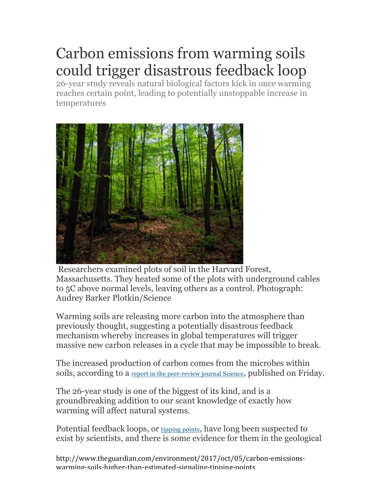## Carbon emissions from warming soils could trigger disastrous feedback loop

26-year study reveals natural biological factors kick in once warming reaches certain point, leading to potentially unstoppable increase in temperatures



Researchers examined plots of soil in the Harvard Forest, Massachusetts. They heated some of the plots with underground cables to 5C above normal levels, leaving others as a control. Photograph: Audrey Barker Plotkin/Science

Warming soils are releasing more carbon into the atmosphere than previously thought, suggesting a potentially disastrous feedback mechanism whereby increases in global temperatures will trigger massive new carbon releases in a cycle that may be impossible to break.

The increased production of carbon comes from the microbes within soils, according to a report in the peer-review journal Science, published on Friday.

The 26-year study is one of the biggest of its kind, and is a groundbreaking addition to our scant knowledge of exactly how warming will affect natural systems.

Potential feedback loops, or tipping points, have long been suspected to exist by scientists, and there is some evidence for them in the geological

http://www.theguardian.com/environment/2017/oct/05/carbon-emissionswarming-soils-higher-than-estimated-signaling-tipping-points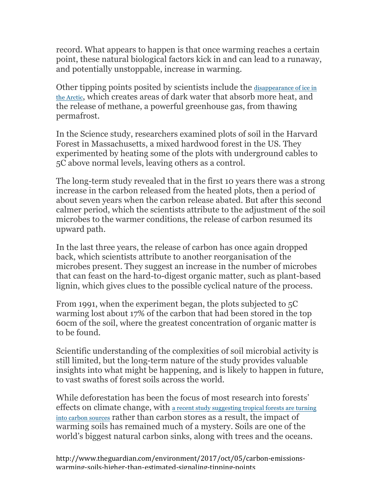record. What appears to happen is that once warming reaches a certain point, these natural biological factors kick in and can lead to a runaway, and potentially unstoppable, increase in warming.

Other tipping points posited by scientists include the disappearance of ice in the Arctic, which creates areas of dark water that absorb more heat, and the release of methane, a powerful greenhouse gas, from thawing permafrost.

In the Science study, researchers examined plots of soil in the Harvard Forest in Massachusetts, a mixed hardwood forest in the US. They experimented by heating some of the plots with underground cables to 5C above normal levels, leaving others as a control.

The long-term study revealed that in the first 10 years there was a strong increase in the carbon released from the heated plots, then a period of about seven years when the carbon release abated. But after this second calmer period, which the scientists attribute to the adjustment of the soil microbes to the warmer conditions, the release of carbon resumed its upward path.

In the last three years, the release of carbon has once again dropped back, which scientists attribute to another reorganisation of the microbes present. They suggest an increase in the number of microbes that can feast on the hard-to-digest organic matter, such as plant-based lignin, which gives clues to the possible cyclical nature of the process.

From 1991, when the experiment began, the plots subjected to 5C warming lost about 17% of the carbon that had been stored in the top 60cm of the soil, where the greatest concentration of organic matter is to be found.

Scientific understanding of the complexities of soil microbial activity is still limited, but the long-term nature of the study provides valuable insights into what might be happening, and is likely to happen in future, to vast swaths of forest soils across the world.

While deforestation has been the focus of most research into forests' effects on climate change, with a recent study suggesting tropical forests are turning into carbon sources rather than carbon stores as a result, the impact of warming soils has remained much of a mystery. Soils are one of the world's biggest natural carbon sinks, along with trees and the oceans.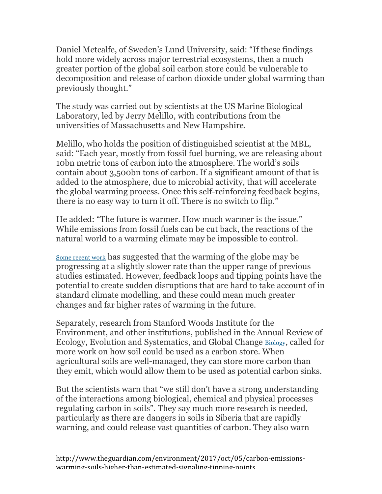Daniel Metcalfe, of Sweden's Lund University, said: "If these findings hold more widely across major terrestrial ecosystems, then a much greater portion of the global soil carbon store could be vulnerable to decomposition and release of carbon dioxide under global warming than previously thought."

The study was carried out by scientists at the US Marine Biological Laboratory, led by Jerry Melillo, with contributions from the universities of Massachusetts and New Hampshire.

Melillo, who holds the position of distinguished scientist at the MBL, said: "Each year, mostly from fossil fuel burning, we are releasing about 10bn metric tons of carbon into the atmosphere. The world's soils contain about 3,500bn tons of carbon. If a significant amount of that is added to the atmosphere, due to microbial activity, that will accelerate the global warming process. Once this self-reinforcing feedback begins, there is no easy way to turn it off. There is no switch to flip."

He added: "The future is warmer. How much warmer is the issue." While emissions from fossil fuels can be cut back, the reactions of the natural world to a warming climate may be impossible to control.

Some recent work has suggested that the warming of the globe may be progressing at a slightly slower rate than the upper range of previous studies estimated. However, feedback loops and tipping points have the potential to create sudden disruptions that are hard to take account of in standard climate modelling, and these could mean much greater changes and far higher rates of warming in the future.

Separately, research from Stanford Woods Institute for the Environment, and other institutions, published in the Annual Review of Ecology, Evolution and Systematics, and Global Change Biology, called for more work on how soil could be used as a carbon store. When agricultural soils are well-managed, they can store more carbon than they emit, which would allow them to be used as potential carbon sinks.

But the scientists warn that "we still don't have a strong understanding of the interactions among biological, chemical and physical processes regulating carbon in soils". They say much more research is needed, particularly as there are dangers in soils in Siberia that are rapidly warning, and could release vast quantities of carbon. They also warn